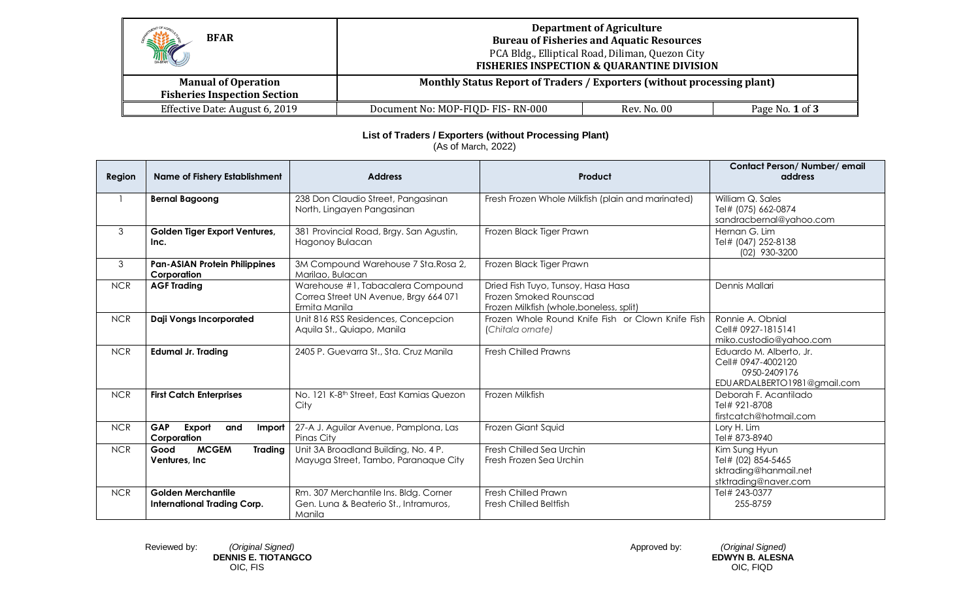| HE<br><b>BFAR</b>                                                 | <b>Department of Agriculture</b><br><b>Bureau of Fisheries and Aquatic Resources</b><br>PCA Bldg., Elliptical Road, Diliman, Quezon City<br><b>FISHERIES INSPECTION &amp; QUARANTINE DIVISION</b> |             |                 |
|-------------------------------------------------------------------|---------------------------------------------------------------------------------------------------------------------------------------------------------------------------------------------------|-------------|-----------------|
| <b>Manual of Operation</b><br><b>Fisheries Inspection Section</b> | Monthly Status Report of Traders / Exporters (without processing plant)                                                                                                                           |             |                 |
| Effective Date: August 6, 2019                                    | Document No: MOP-FIQD- FIS-RN-000                                                                                                                                                                 | Rev. No. 00 | Page No. 1 of 3 |

## **List of Traders / Exporters (without Processing Plant)**

(As of March, 2022)

| Region     | <b>Name of Fishery Establishment</b>                            | <b>Address</b>                                                                              | Product                                                                                                  | Contact Person/Number/email<br>address                                                       |
|------------|-----------------------------------------------------------------|---------------------------------------------------------------------------------------------|----------------------------------------------------------------------------------------------------------|----------------------------------------------------------------------------------------------|
|            | <b>Bernal Bagoong</b>                                           | 238 Don Claudio Street, Pangasinan<br>North, Lingayen Pangasinan                            | Fresh Frozen Whole Milkfish (plain and marinated)                                                        | William Q. Sales<br>Tel# (075) 662-0874<br>sandracbernal@yahoo.com                           |
| 3          | Golden Tiger Export Ventures,<br>Inc.                           | 381 Provincial Road, Brgy. San Agustin,<br>Hagonoy Bulacan                                  | Frozen Black Tiger Prawn                                                                                 | Hernan G. Lim<br>Tel# (047) 252-8138<br>(02) 930-3200                                        |
| 3          | <b>Pan-ASIAN Protein Philippines</b><br>Corporation             | 3M Compound Warehouse 7 Sta. Rosa 2,<br>Marilao, Bulacan                                    | Frozen Black Tiger Prawn                                                                                 |                                                                                              |
| <b>NCR</b> | <b>AGF Trading</b>                                              | Warehouse #1, Tabacalera Compound<br>Correa Street UN Avenue, Brgy 664 071<br>Ermita Manila | Dried Fish Tuyo, Tunsoy, Hasa Hasa<br>Frozen Smoked Rounscad<br>Frozen Milkfish (whole, boneless, split) | Dennis Mallari                                                                               |
| <b>NCR</b> | <b>Daji Vongs Incorporated</b>                                  | Unit 816 RSS Residences, Concepcion<br>Aquila St., Quiapo, Manila                           | Frozen Whole Round Knife Fish or Clown Knife Fish<br>(Chitala ornate)                                    | Ronnie A. Obnial<br>Cell# 0927-1815141<br>miko.custodio@yahoo.com                            |
| <b>NCR</b> | <b>Edumal Jr. Trading</b>                                       | 2405 P. Guevarra St., Sta. Cruz Manila                                                      | <b>Fresh Chilled Prawns</b>                                                                              | Eduardo M. Alberto, Jr.<br>Cell# 0947-4002120<br>0950-2409176<br>EDUARDALBERTO1981@gmail.com |
| <b>NCR</b> | <b>First Catch Enterprises</b>                                  | No. 121 K-8 <sup>th</sup> Street, East Kamias Quezon<br>City                                | Frozen Milkfish                                                                                          | Deborah F. Acantilado<br>Tel# 921-8708<br>firstcatch@hotmail.com                             |
| <b>NCR</b> | <b>GAP</b><br>Export<br>and<br>Import<br>Corporation            | 27-A J. Aguilar Avenue, Pamplona, Las<br>Pinas City                                         | Frozen Giant Squid                                                                                       | Lory H. Lim<br>Tel# 873-8940                                                                 |
| <b>NCR</b> | <b>MCGEM</b><br>Good<br><b>Trading</b><br>Ventures, Inc.        | Unit 3A Broadland Building, No. 4 P.<br>Mayuga Street, Tambo, Paranaque City                | Fresh Chilled Sea Urchin<br>Fresh Frozen Sea Urchin                                                      | Kim Sung Hyun<br>Tel# (02) 854-5465<br>sktrading@hanmail.net<br>stktrading@naver.com         |
| <b>NCR</b> | <b>Golden Merchantile</b><br><b>International Trading Corp.</b> | Rm. 307 Merchantile Ins. Bldg. Corner<br>Gen. Luna & Beaterio St., Intramuros,<br>Manila    | Fresh Chilled Prawn<br><b>Fresh Chilled Beltfish</b>                                                     | Tel# 243-0377<br>255-8759                                                                    |

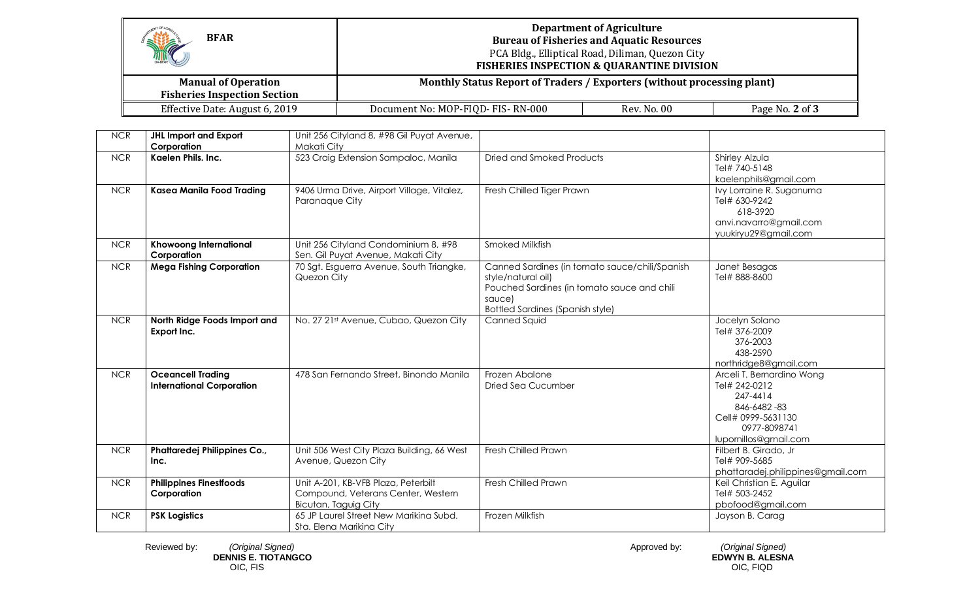| THE<br><b>BFAR</b>                                                | <b>Department of Agriculture</b><br><b>Bureau of Fisheries and Aquatic Resources</b><br>PCA Bldg., Elliptical Road, Diliman, Quezon City<br><b>FISHERIES INSPECTION &amp; QUARANTINE DIVISION</b> |             |                 |
|-------------------------------------------------------------------|---------------------------------------------------------------------------------------------------------------------------------------------------------------------------------------------------|-------------|-----------------|
| <b>Manual of Operation</b><br><b>Fisheries Inspection Section</b> | Monthly Status Report of Traders / Exporters (without processing plant)                                                                                                                           |             |                 |
| Effective Date: August 6, 2019                                    | Document No: MOP-FIQD- FIS-RN-000                                                                                                                                                                 | Rev. No. 00 | Page No. 2 of 3 |

| <b>NCR</b> | <b>JHL Import and Export</b><br>Corporation                  | Unit 256 Cityland 8, #98 Gil Puyat Avenue,<br>Makati City                                         |                                                                                                                                                                          |                                                                                                                                      |
|------------|--------------------------------------------------------------|---------------------------------------------------------------------------------------------------|--------------------------------------------------------------------------------------------------------------------------------------------------------------------------|--------------------------------------------------------------------------------------------------------------------------------------|
| <b>NCR</b> | Kaelen Phils. Inc.                                           | 523 Craig Extension Sampaloc, Manila                                                              | Dried and Smoked Products                                                                                                                                                | Shirley Alzula<br>Tel# 740-5148<br>kaelenphils@gmail.com                                                                             |
| <b>NCR</b> | Kasea Manila Food Trading                                    | 9406 Urma Drive, Airport Village, Vitalez,<br>Paranaque City                                      | Fresh Chilled Tiger Prawn                                                                                                                                                | Ivy Lorraine R. Suganuma<br>Tel# 630-9242<br>618-3920<br>anvi.navarro@gmail.com<br>yuukiryu29@gmail.com                              |
| <b>NCR</b> | <b>Khowoong International</b><br>Corporation                 | Unit 256 Cityland Condominium 8, #98<br>Sen. Gil Puyat Avenue, Makati City                        | Smoked Milkfish                                                                                                                                                          |                                                                                                                                      |
| <b>NCR</b> | <b>Mega Fishing Corporation</b>                              | 70 Sgt. Esguerra Avenue, South Triangke,<br>Quezon City                                           | Canned Sardines (in tomato sauce/chili/Spanish<br>style/natural oil)<br>Pouched Sardines (in tomato sauce and chili<br>sauce)<br><b>Bottled Sardines (Spanish style)</b> | Janet Besagas<br>Tel# 888-8600                                                                                                       |
| <b>NCR</b> | North Ridge Foods Import and<br>Export Inc.                  | No. 27 21st Avenue, Cubao, Quezon City                                                            | Canned Squid                                                                                                                                                             | Jocelyn Solano<br>Tel# 376-2009<br>376-2003<br>438-2590<br>northridge8@gmail.com                                                     |
| <b>NCR</b> | <b>Oceancell Trading</b><br><b>International Corporation</b> | 478 San Fernando Street, Binondo Manila                                                           | Frozen Abalone<br><b>Dried Sea Cucumber</b>                                                                                                                              | Arceli T. Bernardino Wong<br>Tel# 242-0212<br>247-4414<br>846-6482-83<br>Cell# 0999-5631130<br>0977-8098741<br>lupornillos@gmail.com |
| <b>NCR</b> | Phattaredej Philippines Co.,<br>Inc.                         | Unit 506 West City Plaza Building, 66 West<br>Avenue, Quezon City                                 | Fresh Chilled Prawn                                                                                                                                                      | Filbert B. Girado, Jr<br>Tel# 909-5685<br>phattaradej.philippines@gmail.com                                                          |
| <b>NCR</b> | <b>Philippines Finestfoods</b><br>Corporation                | Unit A-201, KB-VFB Plaza, Peterbilt<br>Compound, Veterans Center, Western<br>Bicutan, Taguig City | Fresh Chilled Prawn                                                                                                                                                      | Keil Christian E. Aguilar<br>Tel# 503-2452<br>pbofood@gmail.com                                                                      |
| <b>NCR</b> | <b>PSK Logistics</b>                                         | 65 JP Laurel Street New Marikina Subd.<br>Sta. Elena Marikina City                                | Frozen Milkfish                                                                                                                                                          | Jayson B. Carag                                                                                                                      |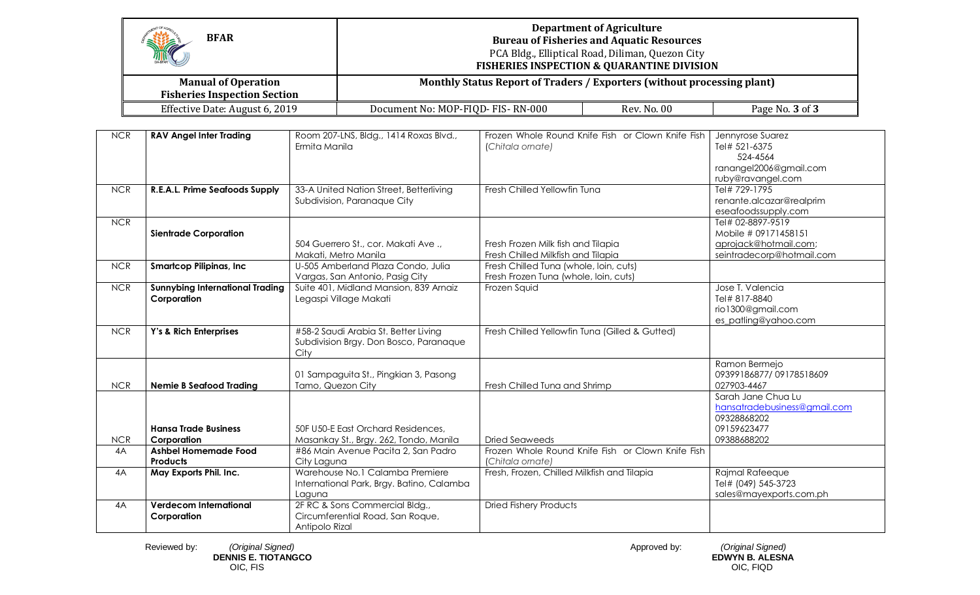| HE<br><b>BFAR</b>                                                 | <b>Department of Agriculture</b><br><b>Bureau of Fisheries and Aquatic Resources</b><br>PCA Bldg., Elliptical Road, Diliman, Quezon City<br><b>FISHERIES INSPECTION &amp; QUARANTINE DIVISION</b> |             |                 |
|-------------------------------------------------------------------|---------------------------------------------------------------------------------------------------------------------------------------------------------------------------------------------------|-------------|-----------------|
| <b>Manual of Operation</b><br><b>Fisheries Inspection Section</b> | Monthly Status Report of Traders / Exporters (without processing plant)                                                                                                                           |             |                 |
| Effective Date: August 6, 2019                                    | Document No: MOP-FIQD- FIS-RN-000                                                                                                                                                                 | Rev. No. 00 | Page No. 3 of 3 |

| <b>NCR</b> | <b>RAV Angel Inter Trading</b>                        | Room 207-LNS, Bldg., 1414 Roxas Blvd.,<br>Ermita Manila                                | Frozen Whole Round Knife Fish or Clown Knife Fish<br>(Chitala ornate)           | Jennyrose Suarez<br>Tel# 521-6375                                                               |
|------------|-------------------------------------------------------|----------------------------------------------------------------------------------------|---------------------------------------------------------------------------------|-------------------------------------------------------------------------------------------------|
|            |                                                       |                                                                                        |                                                                                 | 524-4564<br>ranangel2006@gmail.com<br>ruby@ravangel.com                                         |
| <b>NCR</b> | R.E.A.L. Prime Seafoods Supply                        | 33-A United Nation Street, Betterliving<br>Subdivision, Paranaque City                 | Fresh Chilled Yellowfin Tuna                                                    | Tel# 729-1795<br>renante.alcazar@realprim<br>eseafoodssupply.com                                |
| <b>NCR</b> | <b>Sientrade Corporation</b>                          | 504 Guerrero St., cor. Makati Ave.,<br>Makati, Metro Manila                            | Fresh Frozen Milk fish and Tilapia<br>Fresh Chilled Milkfish and Tilapia        | Tel# 02-8897-9519<br>Mobile # 09171458151<br>aprojack@hotmail.com;<br>seintradecorp@hotmail.com |
| <b>NCR</b> | <b>Smartcop Pilipinas, Inc.</b>                       | U-505 Amberland Plaza Condo, Julia<br>Vargas, San Antonio, Pasig City                  | Fresh Chilled Tuna (whole, loin, cuts)<br>Fresh Frozen Tuna (whole, loin, cuts) |                                                                                                 |
| <b>NCR</b> | <b>Sunnybing International Trading</b><br>Corporation | Suite 401, Midland Mansion, 839 Arnaiz<br>Legaspi Village Makati                       | Frozen Squid                                                                    | Jose T. Valencia<br>Tel# 817-8840<br>rio1300@gmail.com<br>es_patling@yahoo.com                  |
| <b>NCR</b> | Y's & Rich Enterprises                                | #58-2 Saudi Arabia St. Better Living<br>Subdivision Brgy. Don Bosco, Paranaque<br>City | Fresh Chilled Yellowfin Tuna (Gilled & Gutted)                                  |                                                                                                 |
| <b>NCR</b> | <b>Nemie B Seafood Trading</b>                        | 01 Sampaguita St., Pingkian 3, Pasong<br>Tamo, Quezon City                             | Fresh Chilled Tuna and Shrimp                                                   | Ramon Bermejo<br>09399186877/09178518609<br>027903-4467                                         |
| <b>NCR</b> | <b>Hansa Trade Business</b><br>Corporation            | 50F U50-E East Orchard Residences,<br>Masankay St., Brgy. 262, Tondo, Manila           | <b>Dried Seaweeds</b>                                                           | Sarah Jane Chua Lu<br>hansatradebusiness@gmail.com<br>09328868202<br>09159623477<br>09388688202 |
| 4A         | <b>Ashbel Homemade Food</b><br><b>Products</b>        | #86 Main Avenue Pacita 2, San Padro<br>City Laguna                                     | Frozen Whole Round Knife Fish or Clown Knife Fish<br>(Chitala ornate)           |                                                                                                 |
| 4A         | May Exports Phil. Inc.                                | Warehouse No.1 Calamba Premiere<br>International Park, Brgy. Batino, Calamba<br>Laguna | Fresh, Frozen, Chilled Milkfish and Tilapia                                     | Rajmal Rafeeque<br>Tel# (049) 545-3723<br>sales@mayexports.com.ph                               |
| 4A         | <b>Verdecom International</b><br>Corporation          | 2F RC & Sons Commercial Bldg.,<br>Circumferential Road, San Roque,<br>Antipolo Rizal   | <b>Dried Fishery Products</b>                                                   |                                                                                                 |